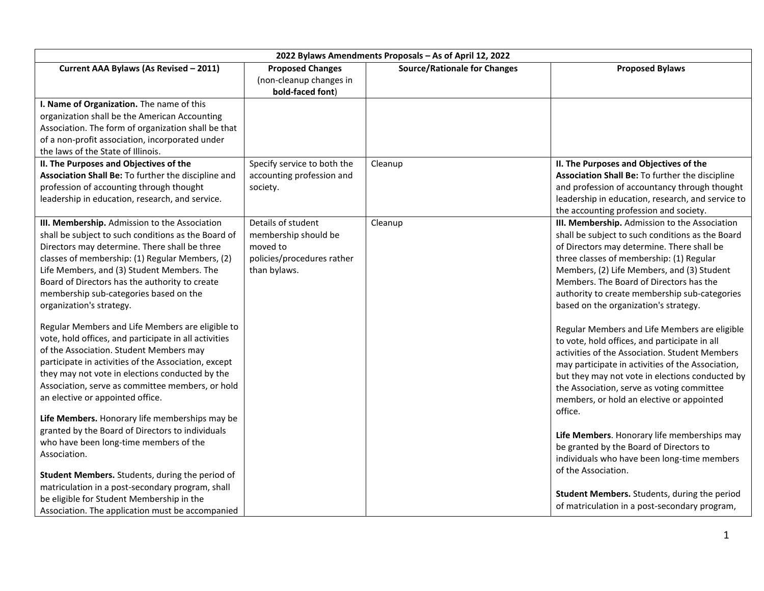| 2022 Bylaws Amendments Proposals - As of April 12, 2022                                                                                                                                                                                                                                                                                                                                                   |                                                                                                      |                                     |                                                                                                                                                                                                                                                                                                                                                                                |  |
|-----------------------------------------------------------------------------------------------------------------------------------------------------------------------------------------------------------------------------------------------------------------------------------------------------------------------------------------------------------------------------------------------------------|------------------------------------------------------------------------------------------------------|-------------------------------------|--------------------------------------------------------------------------------------------------------------------------------------------------------------------------------------------------------------------------------------------------------------------------------------------------------------------------------------------------------------------------------|--|
| Current AAA Bylaws (As Revised - 2011)                                                                                                                                                                                                                                                                                                                                                                    | <b>Proposed Changes</b><br>(non-cleanup changes in<br>bold-faced font)                               | <b>Source/Rationale for Changes</b> | <b>Proposed Bylaws</b>                                                                                                                                                                                                                                                                                                                                                         |  |
| I. Name of Organization. The name of this<br>organization shall be the American Accounting<br>Association. The form of organization shall be that<br>of a non-profit association, incorporated under<br>the laws of the State of Illinois.                                                                                                                                                                |                                                                                                      |                                     |                                                                                                                                                                                                                                                                                                                                                                                |  |
| II. The Purposes and Objectives of the<br>Association Shall Be: To further the discipline and<br>profession of accounting through thought<br>leadership in education, research, and service.                                                                                                                                                                                                              | Specify service to both the<br>accounting profession and<br>society.                                 | Cleanup                             | II. The Purposes and Objectives of the<br>Association Shall Be: To further the discipline<br>and profession of accountancy through thought<br>leadership in education, research, and service to<br>the accounting profession and society.                                                                                                                                      |  |
| III. Membership. Admission to the Association<br>shall be subject to such conditions as the Board of<br>Directors may determine. There shall be three<br>classes of membership: (1) Regular Members, (2)<br>Life Members, and (3) Student Members. The<br>Board of Directors has the authority to create<br>membership sub-categories based on the<br>organization's strategy.                            | Details of student<br>membership should be<br>moved to<br>policies/procedures rather<br>than bylaws. | Cleanup                             | III. Membership. Admission to the Association<br>shall be subject to such conditions as the Board<br>of Directors may determine. There shall be<br>three classes of membership: (1) Regular<br>Members, (2) Life Members, and (3) Student<br>Members. The Board of Directors has the<br>authority to create membership sub-categories<br>based on the organization's strategy. |  |
| Regular Members and Life Members are eligible to<br>vote, hold offices, and participate in all activities<br>of the Association. Student Members may<br>participate in activities of the Association, except<br>they may not vote in elections conducted by the<br>Association, serve as committee members, or hold<br>an elective or appointed office.<br>Life Members. Honorary life memberships may be |                                                                                                      |                                     | Regular Members and Life Members are eligible<br>to vote, hold offices, and participate in all<br>activities of the Association. Student Members<br>may participate in activities of the Association,<br>but they may not vote in elections conducted by<br>the Association, serve as voting committee<br>members, or hold an elective or appointed<br>office.                 |  |
| granted by the Board of Directors to individuals<br>who have been long-time members of the<br>Association.<br>Student Members. Students, during the period of<br>matriculation in a post-secondary program, shall<br>be eligible for Student Membership in the                                                                                                                                            |                                                                                                      |                                     | Life Members. Honorary life memberships may<br>be granted by the Board of Directors to<br>individuals who have been long-time members<br>of the Association.<br>Student Members. Students, during the period                                                                                                                                                                   |  |
| Association. The application must be accompanied                                                                                                                                                                                                                                                                                                                                                          |                                                                                                      |                                     | of matriculation in a post-secondary program,                                                                                                                                                                                                                                                                                                                                  |  |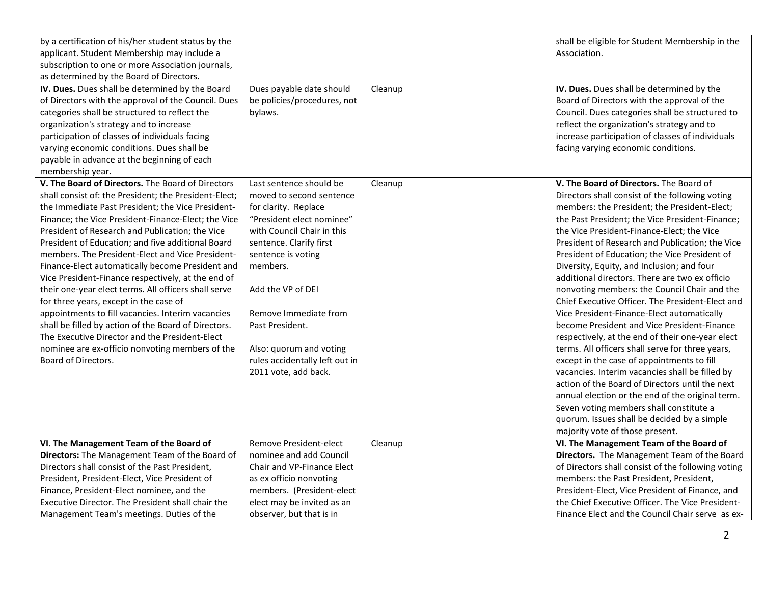| by a certification of his/her student status by the<br>applicant. Student Membership may include a<br>subscription to one or more Association journals,<br>as determined by the Board of Directors.                                                                                                                                                                                                                                                                                                                                                                                                                                                                                                                                                                                                                                     |                                                                                                                                                                                                                                                                                                                                                           |         | shall be eligible for Student Membership in the<br>Association.                                                                                                                                                                                                                                                                                                                                                                                                                                                                                                                                                                                                                                                                                                                                                                                                                                                                                                                                                                                                                               |
|-----------------------------------------------------------------------------------------------------------------------------------------------------------------------------------------------------------------------------------------------------------------------------------------------------------------------------------------------------------------------------------------------------------------------------------------------------------------------------------------------------------------------------------------------------------------------------------------------------------------------------------------------------------------------------------------------------------------------------------------------------------------------------------------------------------------------------------------|-----------------------------------------------------------------------------------------------------------------------------------------------------------------------------------------------------------------------------------------------------------------------------------------------------------------------------------------------------------|---------|-----------------------------------------------------------------------------------------------------------------------------------------------------------------------------------------------------------------------------------------------------------------------------------------------------------------------------------------------------------------------------------------------------------------------------------------------------------------------------------------------------------------------------------------------------------------------------------------------------------------------------------------------------------------------------------------------------------------------------------------------------------------------------------------------------------------------------------------------------------------------------------------------------------------------------------------------------------------------------------------------------------------------------------------------------------------------------------------------|
| IV. Dues. Dues shall be determined by the Board<br>of Directors with the approval of the Council. Dues<br>categories shall be structured to reflect the<br>organization's strategy and to increase<br>participation of classes of individuals facing<br>varying economic conditions. Dues shall be<br>payable in advance at the beginning of each<br>membership year.                                                                                                                                                                                                                                                                                                                                                                                                                                                                   | Dues payable date should<br>be policies/procedures, not<br>bylaws.                                                                                                                                                                                                                                                                                        | Cleanup | IV. Dues. Dues shall be determined by the<br>Board of Directors with the approval of the<br>Council. Dues categories shall be structured to<br>reflect the organization's strategy and to<br>increase participation of classes of individuals<br>facing varying economic conditions.                                                                                                                                                                                                                                                                                                                                                                                                                                                                                                                                                                                                                                                                                                                                                                                                          |
| V. The Board of Directors. The Board of Directors<br>shall consist of: the President; the President-Elect;<br>the Immediate Past President; the Vice President-<br>Finance; the Vice President-Finance-Elect; the Vice<br>President of Research and Publication; the Vice<br>President of Education; and five additional Board<br>members. The President-Elect and Vice President-<br>Finance-Elect automatically become President and<br>Vice President-Finance respectively, at the end of<br>their one-year elect terms. All officers shall serve<br>for three years, except in the case of<br>appointments to fill vacancies. Interim vacancies<br>shall be filled by action of the Board of Directors.<br>The Executive Director and the President-Elect<br>nominee are ex-officio nonvoting members of the<br>Board of Directors. | Last sentence should be<br>moved to second sentence<br>for clarity. Replace<br>"President elect nominee"<br>with Council Chair in this<br>sentence. Clarify first<br>sentence is voting<br>members.<br>Add the VP of DEI<br>Remove Immediate from<br>Past President.<br>Also: quorum and voting<br>rules accidentally left out in<br>2011 vote, add back. | Cleanup | V. The Board of Directors. The Board of<br>Directors shall consist of the following voting<br>members: the President; the President-Elect;<br>the Past President; the Vice President-Finance;<br>the Vice President-Finance-Elect; the Vice<br>President of Research and Publication; the Vice<br>President of Education; the Vice President of<br>Diversity, Equity, and Inclusion; and four<br>additional directors. There are two ex officio<br>nonvoting members: the Council Chair and the<br>Chief Executive Officer. The President-Elect and<br>Vice President-Finance-Elect automatically<br>become President and Vice President-Finance<br>respectively, at the end of their one-year elect<br>terms. All officers shall serve for three years,<br>except in the case of appointments to fill<br>vacancies. Interim vacancies shall be filled by<br>action of the Board of Directors until the next<br>annual election or the end of the original term.<br>Seven voting members shall constitute a<br>quorum. Issues shall be decided by a simple<br>majority vote of those present. |
| VI. The Management Team of the Board of                                                                                                                                                                                                                                                                                                                                                                                                                                                                                                                                                                                                                                                                                                                                                                                                 | Remove President-elect                                                                                                                                                                                                                                                                                                                                    | Cleanup | VI. The Management Team of the Board of                                                                                                                                                                                                                                                                                                                                                                                                                                                                                                                                                                                                                                                                                                                                                                                                                                                                                                                                                                                                                                                       |
| Directors: The Management Team of the Board of                                                                                                                                                                                                                                                                                                                                                                                                                                                                                                                                                                                                                                                                                                                                                                                          | nominee and add Council                                                                                                                                                                                                                                                                                                                                   |         | Directors. The Management Team of the Board                                                                                                                                                                                                                                                                                                                                                                                                                                                                                                                                                                                                                                                                                                                                                                                                                                                                                                                                                                                                                                                   |
| Directors shall consist of the Past President,                                                                                                                                                                                                                                                                                                                                                                                                                                                                                                                                                                                                                                                                                                                                                                                          | Chair and VP-Finance Elect                                                                                                                                                                                                                                                                                                                                |         | of Directors shall consist of the following voting                                                                                                                                                                                                                                                                                                                                                                                                                                                                                                                                                                                                                                                                                                                                                                                                                                                                                                                                                                                                                                            |
| President, President-Elect, Vice President of<br>Finance, President-Elect nominee, and the                                                                                                                                                                                                                                                                                                                                                                                                                                                                                                                                                                                                                                                                                                                                              | as ex officio nonvoting<br>members. (President-elect                                                                                                                                                                                                                                                                                                      |         | members: the Past President, President,<br>President-Elect, Vice President of Finance, and                                                                                                                                                                                                                                                                                                                                                                                                                                                                                                                                                                                                                                                                                                                                                                                                                                                                                                                                                                                                    |
| Executive Director. The President shall chair the                                                                                                                                                                                                                                                                                                                                                                                                                                                                                                                                                                                                                                                                                                                                                                                       | elect may be invited as an                                                                                                                                                                                                                                                                                                                                |         | the Chief Executive Officer. The Vice President-                                                                                                                                                                                                                                                                                                                                                                                                                                                                                                                                                                                                                                                                                                                                                                                                                                                                                                                                                                                                                                              |
| Management Team's meetings. Duties of the                                                                                                                                                                                                                                                                                                                                                                                                                                                                                                                                                                                                                                                                                                                                                                                               | observer, but that is in                                                                                                                                                                                                                                                                                                                                  |         | Finance Elect and the Council Chair serve as ex-                                                                                                                                                                                                                                                                                                                                                                                                                                                                                                                                                                                                                                                                                                                                                                                                                                                                                                                                                                                                                                              |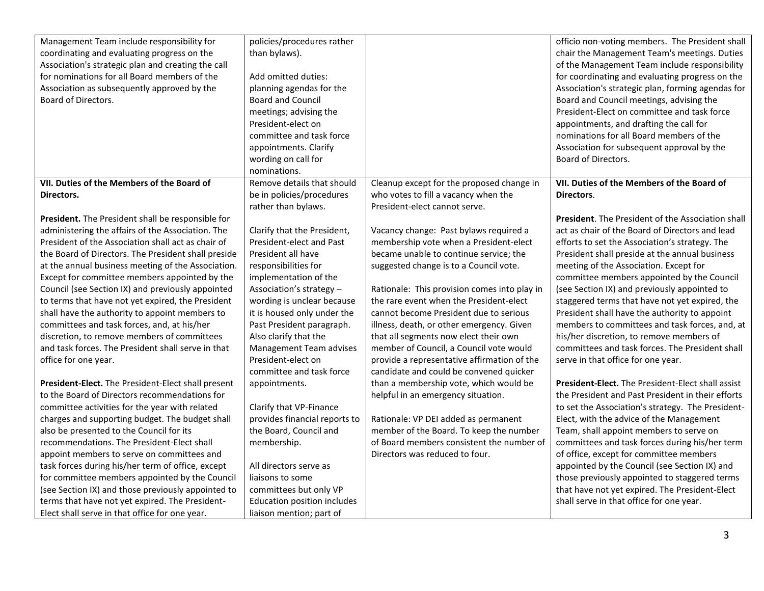| Management Team include responsibility for<br>coordinating and evaluating progress on the<br>Association's strategic plan and creating the call<br>for nominations for all Board members of the<br>Association as subsequently approved by the<br>Board of Directors. | policies/procedures rather<br>than bylaws).<br>Add omitted duties:<br>planning agendas for the<br><b>Board and Council</b><br>meetings; advising the<br>President-elect on<br>committee and task force<br>appointments. Clarify<br>wording on call for<br>nominations. |                                              | officio non-voting members. The President shall<br>chair the Management Team's meetings. Duties<br>of the Management Team include responsibility<br>for coordinating and evaluating progress on the<br>Association's strategic plan, forming agendas for<br>Board and Council meetings, advising the<br>President-Elect on committee and task force<br>appointments, and drafting the call for<br>nominations for all Board members of the<br>Association for subsequent approval by the<br>Board of Directors. |
|-----------------------------------------------------------------------------------------------------------------------------------------------------------------------------------------------------------------------------------------------------------------------|------------------------------------------------------------------------------------------------------------------------------------------------------------------------------------------------------------------------------------------------------------------------|----------------------------------------------|-----------------------------------------------------------------------------------------------------------------------------------------------------------------------------------------------------------------------------------------------------------------------------------------------------------------------------------------------------------------------------------------------------------------------------------------------------------------------------------------------------------------|
| VII. Duties of the Members of the Board of                                                                                                                                                                                                                            | Remove details that should                                                                                                                                                                                                                                             | Cleanup except for the proposed change in    | VII. Duties of the Members of the Board of                                                                                                                                                                                                                                                                                                                                                                                                                                                                      |
| Directors.                                                                                                                                                                                                                                                            | be in policies/procedures                                                                                                                                                                                                                                              | who votes to fill a vacancy when the         | Directors.                                                                                                                                                                                                                                                                                                                                                                                                                                                                                                      |
|                                                                                                                                                                                                                                                                       | rather than bylaws.                                                                                                                                                                                                                                                    | President-elect cannot serve.                |                                                                                                                                                                                                                                                                                                                                                                                                                                                                                                                 |
| President. The President shall be responsible for                                                                                                                                                                                                                     |                                                                                                                                                                                                                                                                        |                                              | President. The President of the Association shall                                                                                                                                                                                                                                                                                                                                                                                                                                                               |
| administering the affairs of the Association. The                                                                                                                                                                                                                     | Clarify that the President,                                                                                                                                                                                                                                            | Vacancy change: Past bylaws required a       | act as chair of the Board of Directors and lead                                                                                                                                                                                                                                                                                                                                                                                                                                                                 |
| President of the Association shall act as chair of                                                                                                                                                                                                                    | President-elect and Past                                                                                                                                                                                                                                               | membership vote when a President-elect       | efforts to set the Association's strategy. The                                                                                                                                                                                                                                                                                                                                                                                                                                                                  |
| the Board of Directors. The President shall preside                                                                                                                                                                                                                   | President all have                                                                                                                                                                                                                                                     | became unable to continue service; the       | President shall preside at the annual business                                                                                                                                                                                                                                                                                                                                                                                                                                                                  |
| at the annual business meeting of the Association.                                                                                                                                                                                                                    | responsibilities for                                                                                                                                                                                                                                                   | suggested change is to a Council vote.       | meeting of the Association. Except for                                                                                                                                                                                                                                                                                                                                                                                                                                                                          |
| Except for committee members appointed by the                                                                                                                                                                                                                         | implementation of the                                                                                                                                                                                                                                                  |                                              | committee members appointed by the Council                                                                                                                                                                                                                                                                                                                                                                                                                                                                      |
| Council (see Section IX) and previously appointed                                                                                                                                                                                                                     | Association's strategy -                                                                                                                                                                                                                                               | Rationale: This provision comes into play in | (see Section IX) and previously appointed to                                                                                                                                                                                                                                                                                                                                                                                                                                                                    |
| to terms that have not yet expired, the President                                                                                                                                                                                                                     | wording is unclear because                                                                                                                                                                                                                                             | the rare event when the President-elect      | staggered terms that have not yet expired, the                                                                                                                                                                                                                                                                                                                                                                                                                                                                  |
| shall have the authority to appoint members to                                                                                                                                                                                                                        | it is housed only under the                                                                                                                                                                                                                                            | cannot become President due to serious       | President shall have the authority to appoint                                                                                                                                                                                                                                                                                                                                                                                                                                                                   |
| committees and task forces, and, at his/her                                                                                                                                                                                                                           | Past President paragraph.                                                                                                                                                                                                                                              | illness, death, or other emergency. Given    | members to committees and task forces, and, at                                                                                                                                                                                                                                                                                                                                                                                                                                                                  |
| discretion, to remove members of committees                                                                                                                                                                                                                           | Also clarify that the                                                                                                                                                                                                                                                  | that all segments now elect their own        | his/her discretion, to remove members of                                                                                                                                                                                                                                                                                                                                                                                                                                                                        |
| and task forces. The President shall serve in that                                                                                                                                                                                                                    | Management Team advises                                                                                                                                                                                                                                                | member of Council, a Council vote would      | committees and task forces. The President shall                                                                                                                                                                                                                                                                                                                                                                                                                                                                 |
| office for one year.                                                                                                                                                                                                                                                  | President-elect on                                                                                                                                                                                                                                                     | provide a representative affirmation of the  | serve in that office for one year.                                                                                                                                                                                                                                                                                                                                                                                                                                                                              |
|                                                                                                                                                                                                                                                                       | committee and task force                                                                                                                                                                                                                                               | candidate and could be convened quicker      |                                                                                                                                                                                                                                                                                                                                                                                                                                                                                                                 |
| President-Elect. The President-Elect shall present                                                                                                                                                                                                                    | appointments.                                                                                                                                                                                                                                                          | than a membership vote, which would be       | <b>President-Elect.</b> The President-Elect shall assist                                                                                                                                                                                                                                                                                                                                                                                                                                                        |
| to the Board of Directors recommendations for                                                                                                                                                                                                                         |                                                                                                                                                                                                                                                                        | helpful in an emergency situation.           | the President and Past President in their efforts                                                                                                                                                                                                                                                                                                                                                                                                                                                               |
| committee activities for the year with related                                                                                                                                                                                                                        | Clarify that VP-Finance                                                                                                                                                                                                                                                |                                              | to set the Association's strategy. The President-                                                                                                                                                                                                                                                                                                                                                                                                                                                               |
| charges and supporting budget. The budget shall                                                                                                                                                                                                                       | provides financial reports to                                                                                                                                                                                                                                          | Rationale: VP DEI added as permanent         | Elect, with the advice of the Management                                                                                                                                                                                                                                                                                                                                                                                                                                                                        |
| also be presented to the Council for its                                                                                                                                                                                                                              | the Board, Council and                                                                                                                                                                                                                                                 | member of the Board. To keep the number      | Team, shall appoint members to serve on                                                                                                                                                                                                                                                                                                                                                                                                                                                                         |
| recommendations. The President-Elect shall                                                                                                                                                                                                                            | membership.                                                                                                                                                                                                                                                            | of Board members consistent the number of    | committees and task forces during his/her term                                                                                                                                                                                                                                                                                                                                                                                                                                                                  |
| appoint members to serve on committees and                                                                                                                                                                                                                            |                                                                                                                                                                                                                                                                        | Directors was reduced to four.               | of office, except for committee members                                                                                                                                                                                                                                                                                                                                                                                                                                                                         |
| task forces during his/her term of office, except                                                                                                                                                                                                                     | All directors serve as                                                                                                                                                                                                                                                 |                                              | appointed by the Council (see Section IX) and                                                                                                                                                                                                                                                                                                                                                                                                                                                                   |
| for committee members appointed by the Council                                                                                                                                                                                                                        | liaisons to some                                                                                                                                                                                                                                                       |                                              | those previously appointed to staggered terms                                                                                                                                                                                                                                                                                                                                                                                                                                                                   |
| (see Section IX) and those previously appointed to                                                                                                                                                                                                                    | committees but only VP                                                                                                                                                                                                                                                 |                                              | that have not yet expired. The President-Elect                                                                                                                                                                                                                                                                                                                                                                                                                                                                  |
| terms that have not yet expired. The President-                                                                                                                                                                                                                       | Education position includes                                                                                                                                                                                                                                            |                                              | shall serve in that office for one year.                                                                                                                                                                                                                                                                                                                                                                                                                                                                        |
| Elect shall serve in that office for one year.                                                                                                                                                                                                                        | liaison mention; part of                                                                                                                                                                                                                                               |                                              |                                                                                                                                                                                                                                                                                                                                                                                                                                                                                                                 |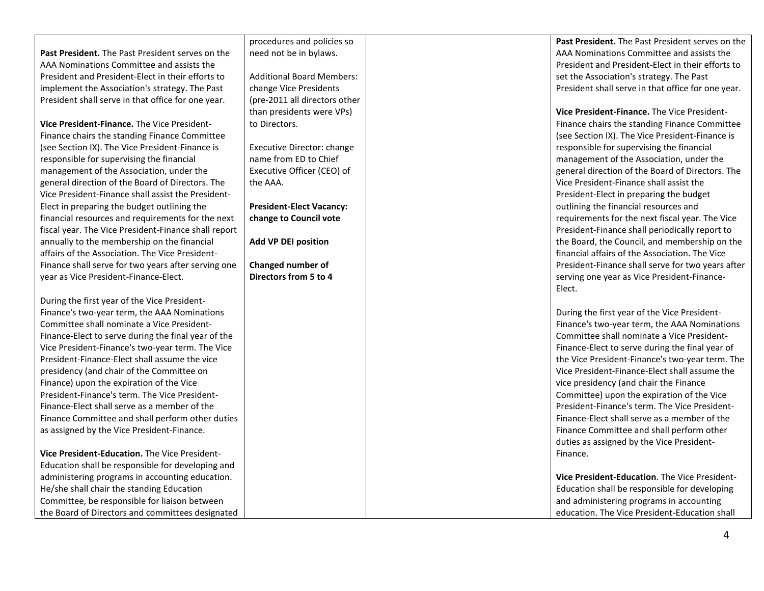**Past President.** The Past President serves on the AAA Nominations Committee and assists the President and President-Elect in their efforts to implement the Association's strategy. The Past President shall serve in that office for one year.

**Vice President-Finance.** The Vice President-Finance chairs the standing Finance Committee (see Section IX). The Vice President-Finance is responsible for supervising the financial management of the Association, under the general direction of the Board of Directors. The Vice President-Finance shall assist the President-Elect in preparing the budget outlining the financial resources and requirements for the next fiscal year. The Vice President-Finance shall report annually to the membership on the financial affairs of the Association. The Vice President-Finance shall serve for two years after serving one year as Vice President-Finance-Elect.

During the first year of the Vice President-Finance's two-year term, the AAA Nominations Committee shall nominate a Vice President-Finance-Elect to serve during the final year of the Vice President-Finance's two-year term. The Vice President-Finance-Elect shall assume the vice presidency (and chair of the Committee on Finance) upon the expiration of the Vice President-Finance's term. The Vice President-Finance-Elect shall serve as a member of the Finance Committee and shall perform other duties as assigned by the Vice President-Finance.

**Vice President-Education.** The Vice President-Education shall be responsible for developing and administering programs in accounting education. He/she shall chair the standing Education Committee, be responsible for liaison between the Board of Directors and committees designated procedures and policies so need not be in bylaws.

Additional Board Members: change Vice Presidents (pre-2011 all directors other than presidents were VPs) to Directors.

Executive Director: change name from ED to Chief Executive Officer (CEO) of the AAA.

**President-Elect Vacancy: change to Council vote**

**Add VP DEI position**

**Changed number of Directors from 5 to 4** **Past President.** The Past President serves on the AAA Nominations Committee and assists the President and President-Elect in their efforts to set the Association's strategy. The Past President shall serve in that office for one year.

**Vice President-Finance.** The Vice President-Finance chairs the standing Finance Committee (see Section IX). The Vice President-Finance is responsible for supervising the financial management of the Association, under the general direction of the Board of Directors. The Vice President-Finance shall assist the President-Elect in preparing the budget outlining the financial resources and requirements for the next fiscal year. The Vice President-Finance shall periodically report to the Board, the Council, and membership on the financial affairs of the Association. The Vice President-Finance shall serve for two years after serving one year as Vice President-Finance-Elect.

During the first year of the Vice President-Finance's two-year term, the AAA Nominations Committee shall nominate a Vice President-Finance-Elect to serve during the final year of the Vice President-Finance's two-year term. The Vice President-Finance-Elect shall assume the vice presidency (and chair the Finance Committee) upon the expiration of the Vice President-Finance's term. The Vice President-Finance-Elect shall serve as a member of the Finance Committee and shall perform other duties as assigned by the Vice President-Finance.

**Vice President-Education**. The Vice President-Education shall be responsible for developing and administering programs in accounting education. The Vice President-Education shall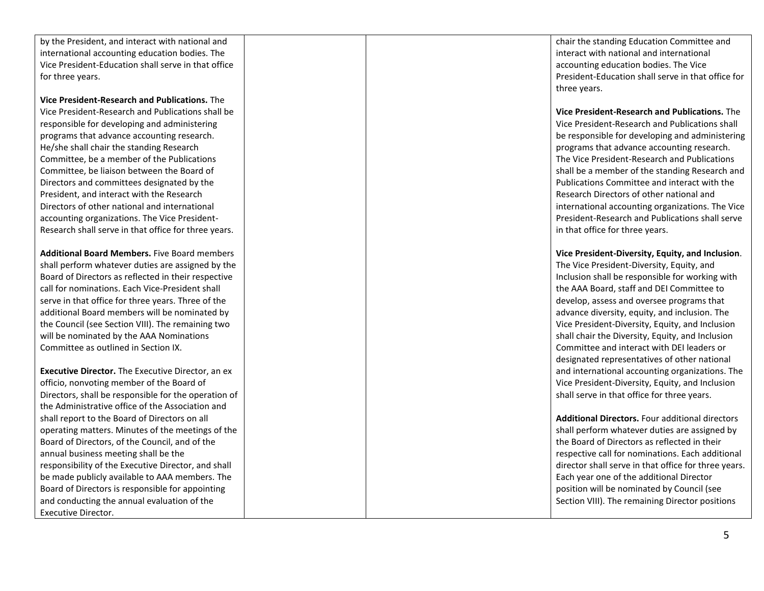by the President, and interact with national and international accounting education bodies. The Vice President -Education shall serve in that office for three years.

**Vice President -Research and Publications.** The Vice President -Research and Publications shall be responsible for developing and administering programs that advance accounting research. He/she shall chair the standing Research Committee, be a member of the Publications Committee, be liaison between the Board of Directors and committees designated by the President, and interact with the Research Directors of other national and international accounting organizations. The Vice President - Research shall serve in that office for three years.

**Additional Board Members.** Five Board members shall perform whatever duties are assigned by the Board of Directors as reflected in their respective call for nominations. Each Vice -President shall serve in that office for three years. Three of the additional Board members will be nominated by the Council (see Section VIII). The remaining two will be nominated by the AAA Nominations Committee as outlined in Section IX.

**Executive Director.** The Executive Director, an ex officio, nonvoting member of the Board of Directors, shall be responsible for the operation of the Administrative office of the Association and shall report to the Board of Directors on all operating matters. Minutes of the meetings of the Board of Directors, of the Council, and of the annual business meeting shall be the responsibility of the Executive Director, and shall be made publicly available to AAA members. The Board of Directors is responsible for appointing and conducting the annual evaluation of the Executive Director.

chair the standing Education Committee and interact with national and international accounting education bodies. The Vice President -Education shall serve in that office for three years.

**Vice President -Research and Publications.** The Vice President -Research and Publications shall be responsible for developing and administering programs that advance accounting research. The Vice President -Research and Publications shall be a member of the standing Research and Publications Committee and interact with the Research Directors of other national and international accounting organizations. The Vice President -Research and Publications shall serve in that office for three years.

**Vice President -Diversity, Equity, and Inclusion**. The Vice President -Diversity, Equity, and Inclusion shall be responsible for working with the AAA Board, staff and DEI Committee to develop, assess and oversee programs that advance diversity, equity, and inclusion. The Vice P resident -Diversity, Equity, and Inclusion shall chair the Diversity, Equity, and Inclusion Committee and interact with DEI leaders or designated representatives of other national and international accounting organizations. The Vice President -Diversity, Equity, and Inclusion shall serve in that office for three years.

**Additional Directors.**  Four additional directors shall perform whatever duties are assigned by the Board of Directors as reflected in their respective call for nominations. Each additional director shall serve in that office for three years. Each year one of the additional Director position will be nominated by Council (see Section VIII). The remaining Director positions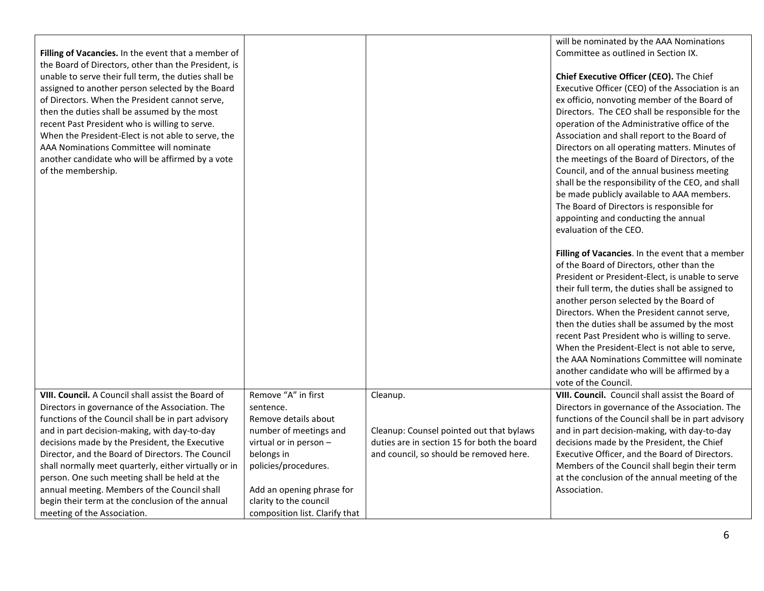|                                                       |                                |                                             | will be nominated by the AAA Nominations           |
|-------------------------------------------------------|--------------------------------|---------------------------------------------|----------------------------------------------------|
| Filling of Vacancies. In the event that a member of   |                                |                                             | Committee as outlined in Section IX.               |
| the Board of Directors, other than the President, is  |                                |                                             |                                                    |
| unable to serve their full term, the duties shall be  |                                |                                             | Chief Executive Officer (CEO). The Chief           |
| assigned to another person selected by the Board      |                                |                                             | Executive Officer (CEO) of the Association is an   |
| of Directors. When the President cannot serve,        |                                |                                             | ex officio, nonvoting member of the Board of       |
| then the duties shall be assumed by the most          |                                |                                             | Directors. The CEO shall be responsible for the    |
| recent Past President who is willing to serve.        |                                |                                             | operation of the Administrative office of the      |
| When the President-Elect is not able to serve, the    |                                |                                             | Association and shall report to the Board of       |
| AAA Nominations Committee will nominate               |                                |                                             | Directors on all operating matters. Minutes of     |
| another candidate who will be affirmed by a vote      |                                |                                             | the meetings of the Board of Directors, of the     |
| of the membership.                                    |                                |                                             | Council, and of the annual business meeting        |
|                                                       |                                |                                             | shall be the responsibility of the CEO, and shall  |
|                                                       |                                |                                             | be made publicly available to AAA members.         |
|                                                       |                                |                                             | The Board of Directors is responsible for          |
|                                                       |                                |                                             | appointing and conducting the annual               |
|                                                       |                                |                                             | evaluation of the CEO.                             |
|                                                       |                                |                                             |                                                    |
|                                                       |                                |                                             | Filling of Vacancies. In the event that a member   |
|                                                       |                                |                                             | of the Board of Directors, other than the          |
|                                                       |                                |                                             | President or President-Elect, is unable to serve   |
|                                                       |                                |                                             | their full term, the duties shall be assigned to   |
|                                                       |                                |                                             | another person selected by the Board of            |
|                                                       |                                |                                             | Directors. When the President cannot serve,        |
|                                                       |                                |                                             | then the duties shall be assumed by the most       |
|                                                       |                                |                                             | recent Past President who is willing to serve.     |
|                                                       |                                |                                             | When the President-Elect is not able to serve,     |
|                                                       |                                |                                             | the AAA Nominations Committee will nominate        |
|                                                       |                                |                                             | another candidate who will be affirmed by a        |
|                                                       |                                |                                             | vote of the Council.                               |
| VIII. Council. A Council shall assist the Board of    | Remove "A" in first            | Cleanup.                                    | VIII. Council. Council shall assist the Board of   |
| Directors in governance of the Association. The       | sentence.                      |                                             | Directors in governance of the Association. The    |
| functions of the Council shall be in part advisory    | Remove details about           |                                             | functions of the Council shall be in part advisory |
| and in part decision-making, with day-to-day          | number of meetings and         | Cleanup: Counsel pointed out that bylaws    | and in part decision-making, with day-to-day       |
| decisions made by the President, the Executive        | virtual or in person -         | duties are in section 15 for both the board | decisions made by the President, the Chief         |
| Director, and the Board of Directors. The Council     | belongs in                     | and council, so should be removed here.     | Executive Officer, and the Board of Directors.     |
| shall normally meet quarterly, either virtually or in | policies/procedures.           |                                             | Members of the Council shall begin their term      |
| person. One such meeting shall be held at the         |                                |                                             | at the conclusion of the annual meeting of the     |
| annual meeting. Members of the Council shall          | Add an opening phrase for      |                                             | Association.                                       |
| begin their term at the conclusion of the annual      | clarity to the council         |                                             |                                                    |
| meeting of the Association.                           | composition list. Clarify that |                                             |                                                    |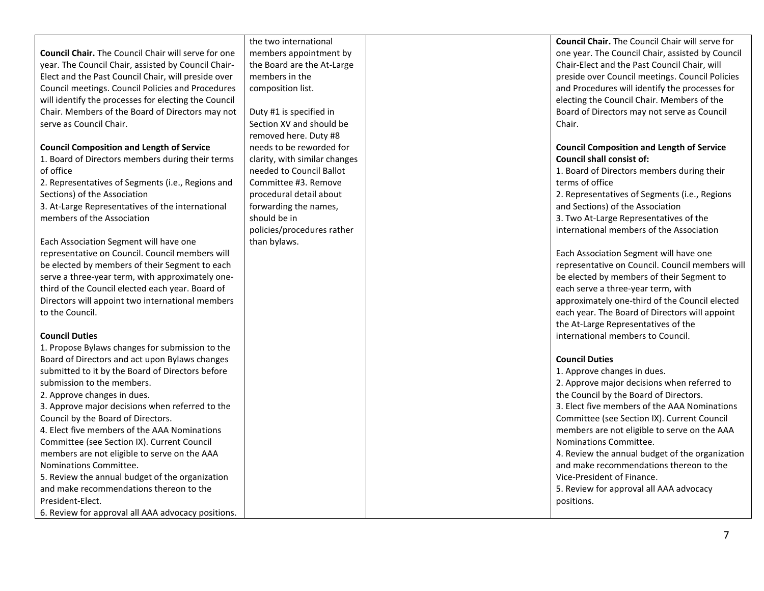# **Council Chair.** The Council Chair will serve for one year. The Council Chair, assisted by Council Chair-Elect and the Past Council Chair, will preside over Council meetings. Council Policies and Procedures will identify the processes for electing the Council Chair. Members of the Board of Directors may not serve as Council Chair.

#### **Council Composition and Length of Service**

1. Board of Directors members during their terms of office

2. Representatives of Segments (i.e., Regions and Sections) of the Association

3. At-Large Representatives of the international members of the Association

Each Association Segment will have one representative on Council. Council members will be elected by members of their Segment to each serve a three-year term, with approximately onethird of the Council elected each year. Board of Directors will appoint two international members to the Council.

### **Council Duties**

1. Propose Bylaws changes for submission to the Board of Directors and act upon Bylaws changes submitted to it by the Board of Directors before submission to the members. 2. Approve changes in dues. 3. Approve major decisions when referred to the Council by the Board of Directors. 4. Elect five members of the AAA Nominations Committee (see Section IX). Current Council members are not eligible to serve on the AAA Nominations Committee.

5. Review the annual budget of the organization and make recommendations thereon to the President-Elect.

6. Review for approval all AAA advocacy positions.

the two international members appointment by the Board are the At-Large members in the composition list.

Duty #1 is specified in Section XV and should be removed here. Duty #8 needs to be reworded for clarity, with similar changes needed to Council Ballot Committee #3. Remove procedural detail about forwarding the names, should be in policies/procedures rather than bylaws.

**Council Chair.** The Council Chair will serve for one year. The Council Chair, assisted by Council Chair-Elect and the Past Council Chair, will preside over Council meetings. Council Policies and Procedures will identify the processes for electing the Council Chair. Members of the Board of Directors may not serve as Council Chair.

### **Council Composition and Length of Service Council shall consist of:**

1. Board of Directors members during their terms of office

2. Representatives of Segments (i.e., Regions and Sections) of the Association 3. Two At-Large Representatives of the international members of the Association

Each Association Segment will have one representative on Council. Council members will be elected by members of their Segment to each serve a three-year term, with approximately one-third of the Council elected each year. The Board of Directors will appoint the At-Large Representatives of the international members to Council.

# **Council Duties**

1. Approve changes in dues. 2. Approve major decisions when referred to the Council by the Board of Directors. 3. Elect five members of the AAA Nominations Committee (see Section IX). Current Council members are not eligible to serve on the AAA Nominations Committee. 4. Review the annual budget of the organization and make recommendations thereon to the Vice-President of Finance. 5. Review for approval all AAA advocacy positions.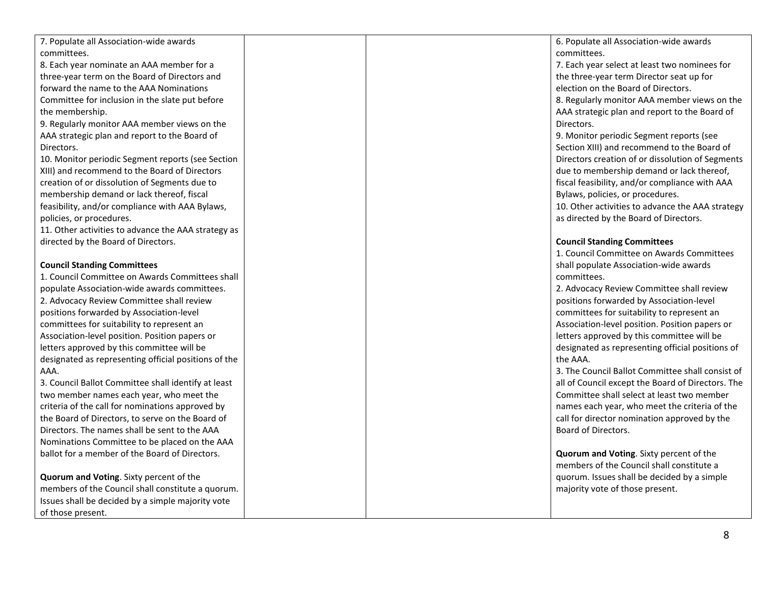7. Populate all Association -wide awards committees. 8. Each year nominate an AAA member for a three -year term on the Board of Directors and forward the name to the AAA Nominations Committee for inclusion in the slate put before the membership. 9. Regularly monitor AAA member views on the AAA strategic plan and report to the Board of Directors. 10. Monitor periodic Segment reports (see Section XIII) and recommend to the Board of Directors creation of or dissolution of Segments due to membership demand or lack thereof, fiscal feasibility, and/or compliance with AAA Bylaws, policies, or procedures. 11. Other activities to advance the AAA strategy as directed by the Board of Directors. **Council Standing Committees** 1. Council Committee on Awards Committees shall populate Association -wide awards committees . 2. Advocacy Review Committee shall review positions forwarded by Association -level committees for suitability to represent an Association -level position. Position papers or letters approved by this committee will be designated as representing official positions of the AAA. 3. Council Ballot Committee shall identify at least two member names each year, who meet the criteria of the call for nominations approved by the Board of Directors, to serve on the Board of Directors. The names shall be sent to the AAA Nominations Committee to be placed on the AAA ballot for a member of the Board of Directors. **Quorum and Voting**. Sixty percent of the members of the Council shall constitute a quorum. Issues shall be decided by a simple majority vote of those present. 6. Populate all Association -wide awards committees. 7. Each year select at least two nominee s for the three -year term Director seat up for election on the Board of Directors . 8. Regularly monitor AAA member views on the AAA strategic plan and report to the Board of Directors. 9. Monitor periodic Segment reports (see Section XIII) and recommend to the Board of Directors creation of or dissolution of Segments due to membership demand or lack thereof, fiscal feasibility, and/or compliance with AAA Bylaws, policies, or procedures. 10. Other activities to advance the AAA strategy as directed by the Board of Directors. **Council Standing Committees** 1. Council Committee on Awards Committees shall populate Association -wide awards committees. 2. Advocacy Review Committee shall review positions forwarded by Association -level committees for suitability to represent an Association -level positio n. Position papers or letters approved by this committee will be designated as representing official positions of the AAA. 3. The Council Ballot Committee shall consist of all of Council except the Board of Directors. The Committee shall select at least two member name s each year, who meet the criteria of the call for director nomination approved by the Board of Directors. **Quorum and Voting**. Sixty percent of the members of the Council shall constitute a quorum. Issues shall be decided by a simple majority vote of those present.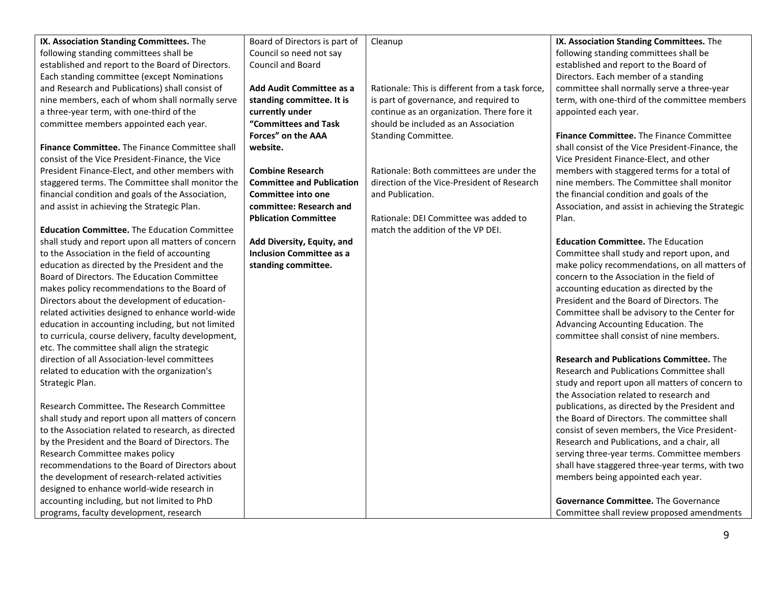| IX. Association Standing Committees. The<br>following standing committees shall be | Board of Directors is part of<br>Council so need not say | Cleanup                                         | IX. Association Standing Committees. The<br>following standing committees shall be |
|------------------------------------------------------------------------------------|----------------------------------------------------------|-------------------------------------------------|------------------------------------------------------------------------------------|
| established and report to the Board of Directors.                                  | Council and Board                                        |                                                 | established and report to the Board of                                             |
| Each standing committee (except Nominations                                        |                                                          |                                                 | Directors. Each member of a standing                                               |
| and Research and Publications) shall consist of                                    | Add Audit Committee as a                                 | Rationale: This is different from a task force, | committee shall normally serve a three-year                                        |
| nine members, each of whom shall normally serve                                    | standing committee. It is                                | is part of governance, and required to          | term, with one-third of the committee members                                      |
| a three-year term, with one-third of the                                           | currently under                                          | continue as an organization. There fore it      | appointed each year.                                                               |
| committee members appointed each year.                                             | "Committees and Task                                     | should be included as an Association            |                                                                                    |
|                                                                                    | Forces" on the AAA                                       | Standing Committee.                             | <b>Finance Committee.</b> The Finance Committee                                    |
| <b>Finance Committee.</b> The Finance Committee shall                              | website.                                                 |                                                 | shall consist of the Vice President-Finance, the                                   |
| consist of the Vice President-Finance, the Vice                                    |                                                          |                                                 | Vice President Finance-Elect, and other                                            |
| President Finance-Elect, and other members with                                    | <b>Combine Research</b>                                  | Rationale: Both committees are under the        | members with staggered terms for a total of                                        |
| staggered terms. The Committee shall monitor the                                   | <b>Committee and Publication</b>                         | direction of the Vice-President of Research     | nine members. The Committee shall monitor                                          |
| financial condition and goals of the Association,                                  | <b>Committee into one</b>                                | and Publication.                                | the financial condition and goals of the                                           |
| and assist in achieving the Strategic Plan.                                        | committee: Research and                                  |                                                 | Association, and assist in achieving the Strategic                                 |
|                                                                                    | <b>Pblication Committee</b>                              | Rationale: DEI Committee was added to           | Plan.                                                                              |
| <b>Education Committee.</b> The Education Committee                                |                                                          | match the addition of the VP DEI.               |                                                                                    |
| shall study and report upon all matters of concern                                 | Add Diversity, Equity, and                               |                                                 | <b>Education Committee.</b> The Education                                          |
| to the Association in the field of accounting                                      | <b>Inclusion Committee as a</b>                          |                                                 | Committee shall study and report upon, and                                         |
| education as directed by the President and the                                     | standing committee.                                      |                                                 | make policy recommendations, on all matters of                                     |
| Board of Directors. The Education Committee                                        |                                                          |                                                 | concern to the Association in the field of                                         |
| makes policy recommendations to the Board of                                       |                                                          |                                                 | accounting education as directed by the                                            |
| Directors about the development of education-                                      |                                                          |                                                 | President and the Board of Directors. The                                          |
| related activities designed to enhance world-wide                                  |                                                          |                                                 | Committee shall be advisory to the Center for                                      |
| education in accounting including, but not limited                                 |                                                          |                                                 | Advancing Accounting Education. The                                                |
| to curricula, course delivery, faculty development,                                |                                                          |                                                 | committee shall consist of nine members.                                           |
| etc. The committee shall align the strategic                                       |                                                          |                                                 |                                                                                    |
| direction of all Association-level committees                                      |                                                          |                                                 | <b>Research and Publications Committee.</b> The                                    |
| related to education with the organization's                                       |                                                          |                                                 | <b>Research and Publications Committee shall</b>                                   |
| Strategic Plan.                                                                    |                                                          |                                                 | study and report upon all matters of concern to                                    |
|                                                                                    |                                                          |                                                 | the Association related to research and                                            |
| Research Committee. The Research Committee                                         |                                                          |                                                 | publications, as directed by the President and                                     |
| shall study and report upon all matters of concern                                 |                                                          |                                                 | the Board of Directors. The committee shall                                        |
| to the Association related to research, as directed                                |                                                          |                                                 | consist of seven members, the Vice President-                                      |
| by the President and the Board of Directors. The                                   |                                                          |                                                 | Research and Publications, and a chair, all                                        |
| Research Committee makes policy                                                    |                                                          |                                                 | serving three-year terms. Committee members                                        |
| recommendations to the Board of Directors about                                    |                                                          |                                                 | shall have staggered three-year terms, with two                                    |
| the development of research-related activities                                     |                                                          |                                                 | members being appointed each year.                                                 |
| designed to enhance world-wide research in                                         |                                                          |                                                 |                                                                                    |
| accounting including, but not limited to PhD                                       |                                                          |                                                 | Governance Committee. The Governance                                               |
| programs, faculty development, research                                            |                                                          |                                                 | Committee shall review proposed amendments                                         |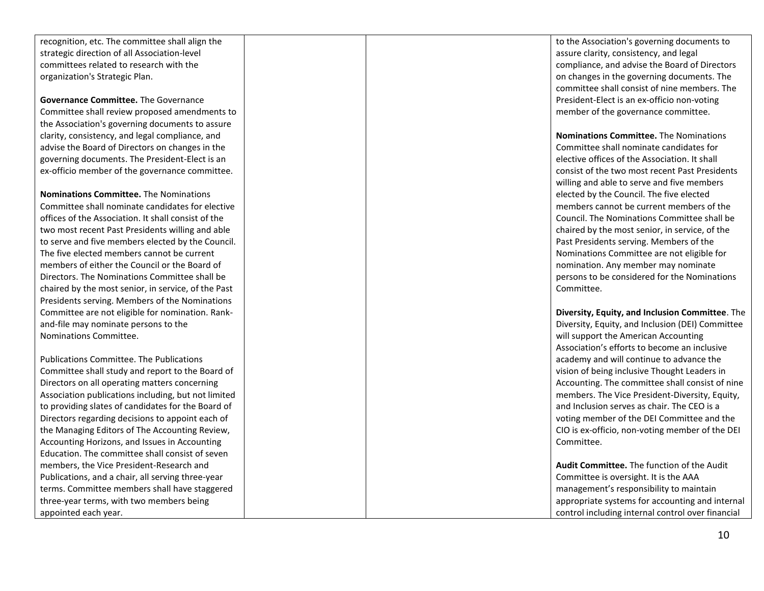recognition, etc. The committee shall align the strategic direction of all Association -level committees related to research with the organization's Strategic Plan.

**Governance Committee.** The Governance Committee shall review proposed amendments to the Association's governing documents to assure clarity, consistency, and legal compliance, and advise the Board of Directors on changes in the governing documents. The President -Elect is an ex -officio member of the governance committee.

**Nominations Committee.** The Nominations Committee shall nominate candidates for elective offices of the Association. It shall consist of the two most recent Past Presidents willing and able to serve and five members elected by the Council. The five elected members cannot be current members of either the Council or the Board of Directors. The Nominations Committee shall be chaired by the most senior, in service, of the Past Presidents serving. Members of the Nominations Committee are not eligible for nomination. Rank and -file may nominate persons to the Nominations Committee.

Publications Committee. The Publications Committee shall study and report to the Board of Directors on all operating matters concerning Association publications including, but not limited to providing slates of candidates for the Board of Directors regarding decisions to appoint each of the Managing Editors of The Accounting Review, Accounting Horizons, and Issues in Accounting Education. The committee shall consist of seven members, the Vice President -Research and Publications, and a chair, all serving three -year terms. Committee members shall have staggered three -year terms, with two members being appointed each year.

to the Association's governing documents to assure clarity, consistency, and legal compliance, and advise the Board of Directors on changes in the governing documents. The committee shall consist of nine members. The President -Elect is an ex -officio non -voting member of the governance committee.

**Nominations Committee.** The Nominations Committee shall nominate candidates for elective offices of the Association. It shall consist of the two most recent Past Presidents willing and able to serve and five members elected by the Council. The five elected members cannot be current members of the Council. The Nominations Committee shall be chaired by the most senior, in service, of the Past Presidents serving. Members of the Nominations Committee are not eligible for nomination. Any member may nominate persons to be considered fo r the Nominations Committee.

**Diversity, Equity, and Inclusion Committee**. The Diversity, Equity, and Inclusion (DEI) Committee will support the American Accounting Association's efforts to become an inclusive academy and will continue to advance the vision of being inclusive Thought Leaders in Accounting. The committee shall consist of nine members. The Vice President -Diversity, Equity, and Inclusion serves as chair. The CEO is a voting member of the DEI Committee and the CIO is ex -officio, non -voting member of the DEI Committee.

**Audit Committee.** The function of the Audit Committee is oversight. It is the AAA management's responsibility to maintain appropriate systems for accounting and internal control including internal control over financial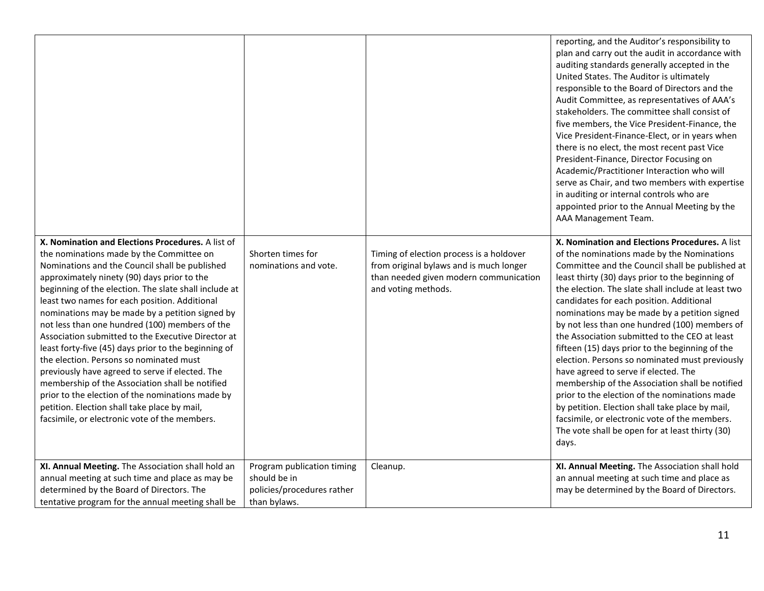| X. Nomination and Elections Procedures. A list of<br>the nominations made by the Committee on<br>Nominations and the Council shall be published<br>approximately ninety (90) days prior to the<br>beginning of the election. The slate shall include at<br>least two names for each position. Additional<br>nominations may be made by a petition signed by<br>not less than one hundred (100) members of the<br>Association submitted to the Executive Director at<br>least forty-five (45) days prior to the beginning of<br>the election. Persons so nominated must<br>previously have agreed to serve if elected. The<br>membership of the Association shall be notified<br>prior to the election of the nominations made by<br>petition. Election shall take place by mail,<br>facsimile, or electronic vote of the members. | Shorten times for<br>nominations and vote.                                               | Timing of election process is a holdover<br>from original bylaws and is much longer<br>than needed given modern communication<br>and voting methods. | reporting, and the Auditor's responsibility to<br>plan and carry out the audit in accordance with<br>auditing standards generally accepted in the<br>United States. The Auditor is ultimately<br>responsible to the Board of Directors and the<br>Audit Committee, as representatives of AAA's<br>stakeholders. The committee shall consist of<br>five members, the Vice President-Finance, the<br>Vice President-Finance-Elect, or in years when<br>there is no elect, the most recent past Vice<br>President-Finance, Director Focusing on<br>Academic/Practitioner Interaction who will<br>serve as Chair, and two members with expertise<br>in auditing or internal controls who are<br>appointed prior to the Annual Meeting by the<br>AAA Management Team.<br>X. Nomination and Elections Procedures. A list<br>of the nominations made by the Nominations<br>Committee and the Council shall be published at<br>least thirty (30) days prior to the beginning of<br>the election. The slate shall include at least two<br>candidates for each position. Additional<br>nominations may be made by a petition signed<br>by not less than one hundred (100) members of<br>the Association submitted to the CEO at least<br>fifteen (15) days prior to the beginning of the<br>election. Persons so nominated must previously<br>have agreed to serve if elected. The<br>membership of the Association shall be notified<br>prior to the election of the nominations made<br>by petition. Election shall take place by mail,<br>facsimile, or electronic vote of the members.<br>The vote shall be open for at least thirty (30)<br>days. |
|-----------------------------------------------------------------------------------------------------------------------------------------------------------------------------------------------------------------------------------------------------------------------------------------------------------------------------------------------------------------------------------------------------------------------------------------------------------------------------------------------------------------------------------------------------------------------------------------------------------------------------------------------------------------------------------------------------------------------------------------------------------------------------------------------------------------------------------|------------------------------------------------------------------------------------------|------------------------------------------------------------------------------------------------------------------------------------------------------|----------------------------------------------------------------------------------------------------------------------------------------------------------------------------------------------------------------------------------------------------------------------------------------------------------------------------------------------------------------------------------------------------------------------------------------------------------------------------------------------------------------------------------------------------------------------------------------------------------------------------------------------------------------------------------------------------------------------------------------------------------------------------------------------------------------------------------------------------------------------------------------------------------------------------------------------------------------------------------------------------------------------------------------------------------------------------------------------------------------------------------------------------------------------------------------------------------------------------------------------------------------------------------------------------------------------------------------------------------------------------------------------------------------------------------------------------------------------------------------------------------------------------------------------------------------------------------------------------------------------------------------------|
| XI. Annual Meeting. The Association shall hold an<br>annual meeting at such time and place as may be<br>determined by the Board of Directors. The<br>tentative program for the annual meeting shall be                                                                                                                                                                                                                                                                                                                                                                                                                                                                                                                                                                                                                            | Program publication timing<br>should be in<br>policies/procedures rather<br>than bylaws. | Cleanup.                                                                                                                                             | XI. Annual Meeting. The Association shall hold<br>an annual meeting at such time and place as<br>may be determined by the Board of Directors.                                                                                                                                                                                                                                                                                                                                                                                                                                                                                                                                                                                                                                                                                                                                                                                                                                                                                                                                                                                                                                                                                                                                                                                                                                                                                                                                                                                                                                                                                                |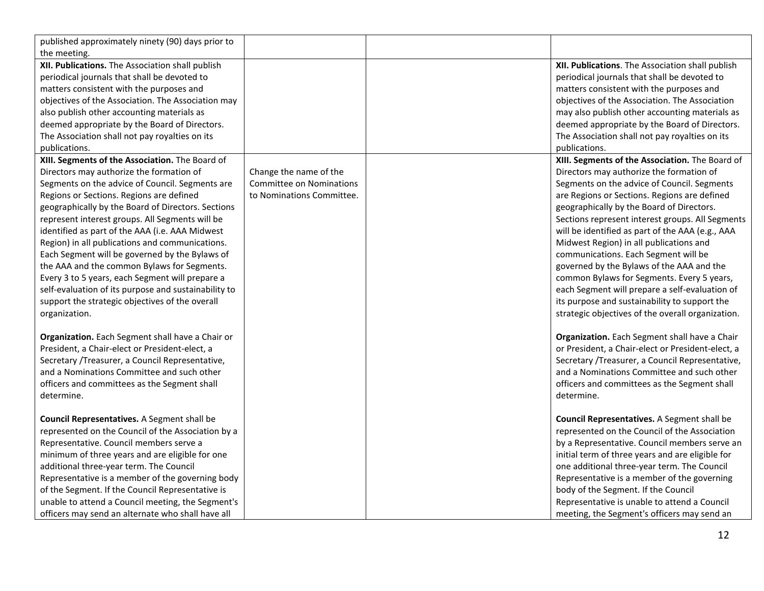| published approximately ninety (90) days prior to    |                           |                                                   |
|------------------------------------------------------|---------------------------|---------------------------------------------------|
| the meeting.                                         |                           |                                                   |
| XII. Publications. The Association shall publish     |                           | XII. Publications. The Association shall publish  |
| periodical journals that shall be devoted to         |                           | periodical journals that shall be devoted to      |
| matters consistent with the purposes and             |                           | matters consistent with the purposes and          |
| objectives of the Association. The Association may   |                           | objectives of the Association. The Association    |
| also publish other accounting materials as           |                           | may also publish other accounting materials as    |
| deemed appropriate by the Board of Directors.        |                           | deemed appropriate by the Board of Directors.     |
| The Association shall not pay royalties on its       |                           | The Association shall not pay royalties on its    |
| publications.                                        |                           | publications.                                     |
| XIII. Segments of the Association. The Board of      |                           | XIII. Segments of the Association. The Board of   |
| Directors may authorize the formation of             | Change the name of the    | Directors may authorize the formation of          |
| Segments on the advice of Council. Segments are      | Committee on Nominations  | Segments on the advice of Council. Segments       |
| Regions or Sections. Regions are defined             | to Nominations Committee. | are Regions or Sections. Regions are defined      |
| geographically by the Board of Directors. Sections   |                           | geographically by the Board of Directors.         |
| represent interest groups. All Segments will be      |                           | Sections represent interest groups. All Segments  |
| identified as part of the AAA (i.e. AAA Midwest      |                           | will be identified as part of the AAA (e.g., AAA  |
| Region) in all publications and communications.      |                           | Midwest Region) in all publications and           |
| Each Segment will be governed by the Bylaws of       |                           | communications. Each Segment will be              |
| the AAA and the common Bylaws for Segments.          |                           | governed by the Bylaws of the AAA and the         |
| Every 3 to 5 years, each Segment will prepare a      |                           | common Bylaws for Segments. Every 5 years,        |
| self-evaluation of its purpose and sustainability to |                           | each Segment will prepare a self-evaluation of    |
| support the strategic objectives of the overall      |                           | its purpose and sustainability to support the     |
| organization.                                        |                           | strategic objectives of the overall organization. |
|                                                      |                           |                                                   |
| Organization. Each Segment shall have a Chair or     |                           | Organization. Each Segment shall have a Chair     |
| President, a Chair-elect or President-elect, a       |                           | or President, a Chair-elect or President-elect, a |
| Secretary /Treasurer, a Council Representative,      |                           | Secretary / Treasurer, a Council Representative,  |
| and a Nominations Committee and such other           |                           | and a Nominations Committee and such other        |
| officers and committees as the Segment shall         |                           | officers and committees as the Segment shall      |
| determine.                                           |                           | determine.                                        |
|                                                      |                           |                                                   |
| Council Representatives. A Segment shall be          |                           | Council Representatives. A Segment shall be       |
| represented on the Council of the Association by a   |                           | represented on the Council of the Association     |
| Representative. Council members serve a              |                           | by a Representative. Council members serve an     |
| minimum of three years and are eligible for one      |                           | initial term of three years and are eligible for  |
| additional three-year term. The Council              |                           | one additional three-year term. The Council       |
| Representative is a member of the governing body     |                           | Representative is a member of the governing       |
| of the Segment. If the Council Representative is     |                           | body of the Segment. If the Council               |
| unable to attend a Council meeting, the Segment's    |                           | Representative is unable to attend a Council      |
| officers may send an alternate who shall have all    |                           | meeting, the Segment's officers may send an       |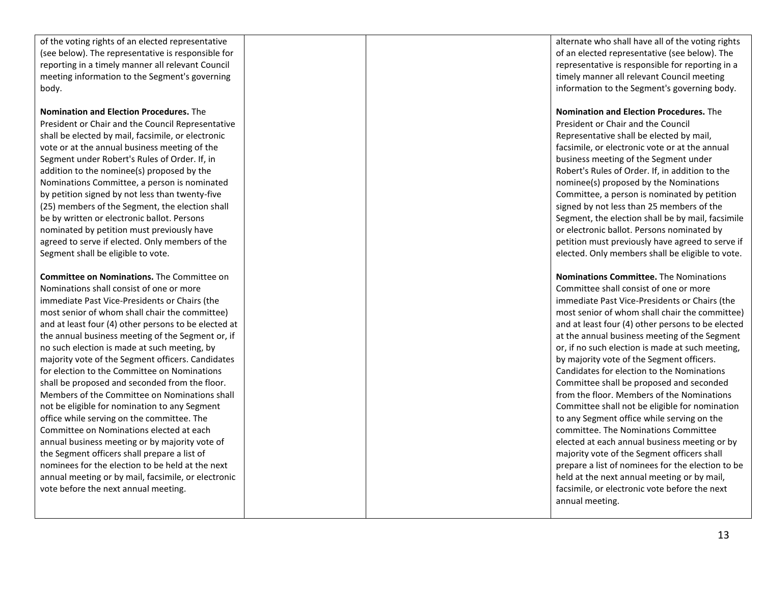of the voting rights of an elected representative (see below). The representative is responsible for reporting in a timely manner all relevant Council meeting information to the Segment's governing body.

**Nomination and Election Procedures.** The

President or Chair and the Council Representative shall be elected by mail, facsimile, or electronic vote or at the annual business meeting of the Segment under Robert's Rules of Order. If, in addition to the nominee(s) proposed by the Nominations Committee, a person is nominated by petition signed by not less than twenty -five (25) members of the Segment, the election shall be by written or electronic ballot. Persons nominated by petition must previously have agreed to serve if elected. Only members of the Segment shall be eligible to vote.

**Committee on Nominations.** The Committee on Nominations shall consist of one or more immediate Past Vice -Presidents or Chairs (the most senior of whom shall chair the committee) and at least four (4) other persons to be elected at the annual business meeting of the Segment or, if no such election is made at such meeting, by majority vote of the Segment officers. Candidates for election to the Committee on Nominations shall be proposed and seconded from the floor. Members of the Committee on Nominations shall not be eligible for nomination to any Segment office while serving on the committee. The Committee on Nominations elected at each annual business meeting or by majority vote of the Segment officers shall prepare a list of nominees for the election to be held at the next annual meeting or by mail, facsimile, or electronic vote before the next annual meeting.

alternate who shall have all of the voting rights of an elected representative (see below). The representative is responsible for reporting in a timely manner all relevant Council meeting information to the Segment's governing body.

**Nomination and Election Procedures.** The President or Chair and the Council Representative shall be elected by mail, facsimile, or electronic vote or at the annual business meeting of the Segment under Robert's Rules of Order. If, in addition to the nominee(s) proposed by the Nominations Committee, a person is nominated by petition signed by not less than 25 members of the Segment, the election shall be by mail, facsimile or electronic ballot. Persons nominated by petition must previously have agreed to serve if elected. Only members shall be eligible to vote.

**Nominations Committee .** The Nominations Committee shall consist of one or more immediate Past Vice -Presidents or Chairs (the most senior of whom shall chair the committee) and at least four (4) other persons to be elected at the annual business meeting of the Segment or, if no such election is made at such meeting, by majority vote of the Segment officers. Candidates for election to the Nominations Committee shall be proposed and seconded from the floor. Members of the Nominations Committee shall not be eligible for nomination to any Segment office while serving on the committee. The Nominations Committee elected at each annual business meeting or by majority vote of the Segment officers shall prepare a list of nominees for the election to be held at the next annual meeting or by mail, facsimile, or electronic vote before the next annual meeting.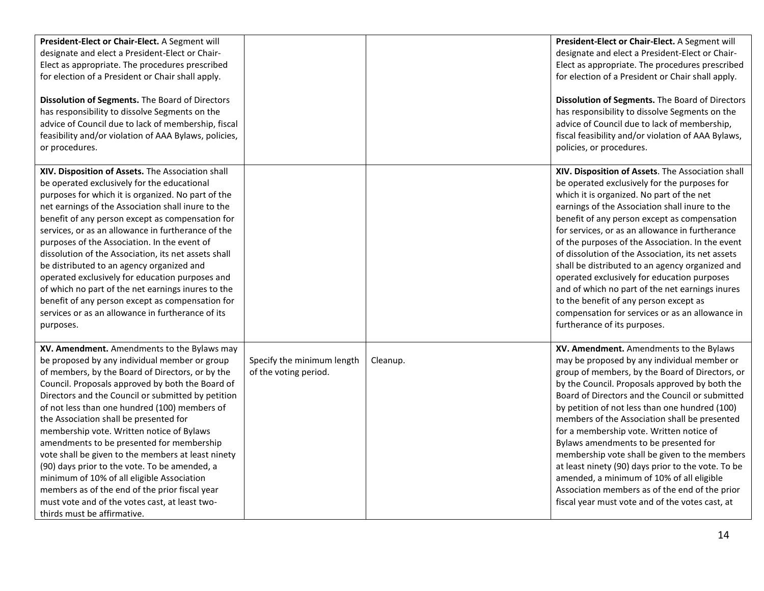| President-Elect or Chair-Elect. A Segment will<br>designate and elect a President-Elect or Chair-<br>Elect as appropriate. The procedures prescribed<br>for election of a President or Chair shall apply.<br>Dissolution of Segments. The Board of Directors<br>has responsibility to dissolve Segments on the<br>advice of Council due to lack of membership, fiscal<br>feasibility and/or violation of AAA Bylaws, policies,<br>or procedures.                                                                                                                                                                                                                                                                                        |                                                     |          | President-Elect or Chair-Elect. A Segment will<br>designate and elect a President-Elect or Chair-<br>Elect as appropriate. The procedures prescribed<br>for election of a President or Chair shall apply.<br>Dissolution of Segments. The Board of Directors<br>has responsibility to dissolve Segments on the<br>advice of Council due to lack of membership,<br>fiscal feasibility and/or violation of AAA Bylaws,<br>policies, or procedures.                                                                                                                                                                                                                                                |
|-----------------------------------------------------------------------------------------------------------------------------------------------------------------------------------------------------------------------------------------------------------------------------------------------------------------------------------------------------------------------------------------------------------------------------------------------------------------------------------------------------------------------------------------------------------------------------------------------------------------------------------------------------------------------------------------------------------------------------------------|-----------------------------------------------------|----------|-------------------------------------------------------------------------------------------------------------------------------------------------------------------------------------------------------------------------------------------------------------------------------------------------------------------------------------------------------------------------------------------------------------------------------------------------------------------------------------------------------------------------------------------------------------------------------------------------------------------------------------------------------------------------------------------------|
| XIV. Disposition of Assets. The Association shall<br>be operated exclusively for the educational<br>purposes for which it is organized. No part of the<br>net earnings of the Association shall inure to the<br>benefit of any person except as compensation for<br>services, or as an allowance in furtherance of the<br>purposes of the Association. In the event of<br>dissolution of the Association, its net assets shall<br>be distributed to an agency organized and<br>operated exclusively for education purposes and<br>of which no part of the net earnings inures to the<br>benefit of any person except as compensation for<br>services or as an allowance in furtherance of its<br>purposes.                              |                                                     |          | XIV. Disposition of Assets. The Association shall<br>be operated exclusively for the purposes for<br>which it is organized. No part of the net<br>earnings of the Association shall inure to the<br>benefit of any person except as compensation<br>for services, or as an allowance in furtherance<br>of the purposes of the Association. In the event<br>of dissolution of the Association, its net assets<br>shall be distributed to an agency organized and<br>operated exclusively for education purposes<br>and of which no part of the net earnings inures<br>to the benefit of any person except as<br>compensation for services or as an allowance in<br>furtherance of its purposes.  |
| XV. Amendment. Amendments to the Bylaws may<br>be proposed by any individual member or group<br>of members, by the Board of Directors, or by the<br>Council. Proposals approved by both the Board of<br>Directors and the Council or submitted by petition<br>of not less than one hundred (100) members of<br>the Association shall be presented for<br>membership vote. Written notice of Bylaws<br>amendments to be presented for membership<br>vote shall be given to the members at least ninety<br>(90) days prior to the vote. To be amended, a<br>minimum of 10% of all eligible Association<br>members as of the end of the prior fiscal year<br>must vote and of the votes cast, at least two-<br>thirds must be affirmative. | Specify the minimum length<br>of the voting period. | Cleanup. | XV. Amendment. Amendments to the Bylaws<br>may be proposed by any individual member or<br>group of members, by the Board of Directors, or<br>by the Council. Proposals approved by both the<br>Board of Directors and the Council or submitted<br>by petition of not less than one hundred (100)<br>members of the Association shall be presented<br>for a membership vote. Written notice of<br>Bylaws amendments to be presented for<br>membership vote shall be given to the members<br>at least ninety (90) days prior to the vote. To be<br>amended, a minimum of 10% of all eligible<br>Association members as of the end of the prior<br>fiscal year must vote and of the votes cast, at |